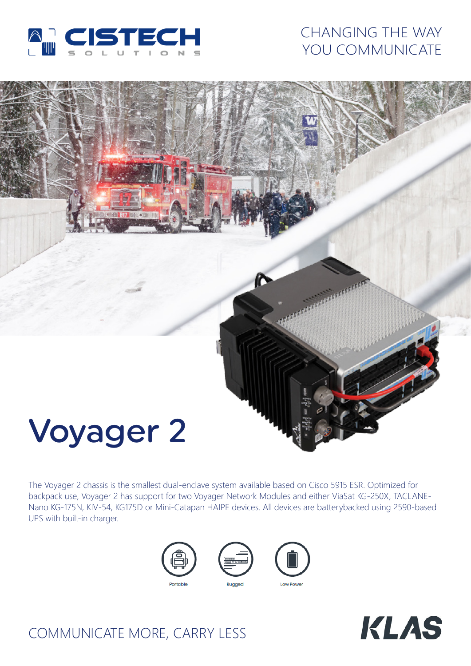

# CHANGING THE WAY YOU COMMUNICATE



The Voyager 2 chassis is the smallest dual-enclave system available based on Cisco 5915 ESR. Optimized for backpack use, Voyager 2 has support for two Voyager Network Modules and either ViaSat KG-250X, TACLANE-Nano KG-175N, KIV-54, KG175D or Mini-Catapan HAIPE devices. All devices are batterybacked using 2590-based UPS with built-in charger.





# COMMUNICATE MORE, CARRY LESS